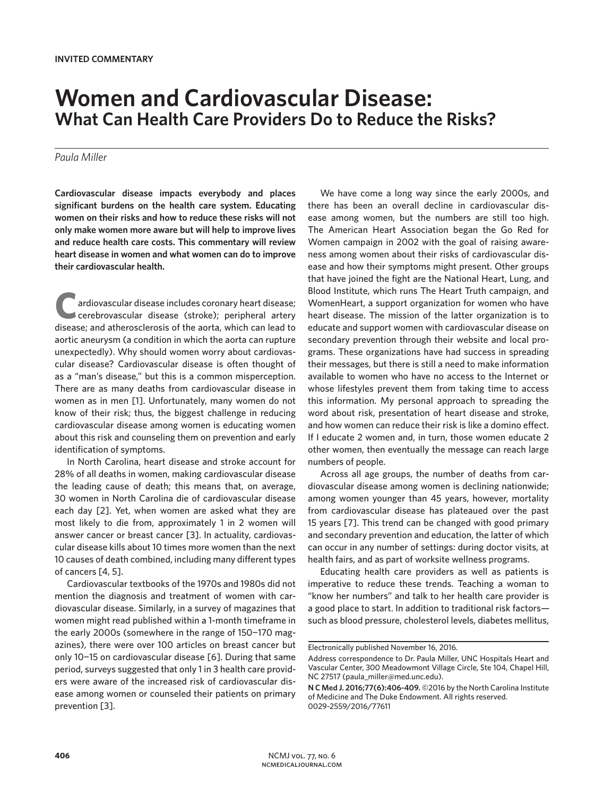# **Women and Cardiovascular Disease: What Can Health Care Providers Do to Reduce the Risks?**

# *Paula Miller*

**Cardiovascular disease impacts everybody and places significant burdens on the health care system. Educating women on their risks and how to reduce these risks will not only make women more aware but will help to improve lives and reduce health care costs. This commentary will review heart disease in women and what women can do to improve their cardiovascular health.**

ardiovascular disease includes coronary heart disease; cerebrovascular disease (stroke); peripheral artery disease; and atherosclerosis of the aorta, which can lead to aortic aneurysm (a condition in which the aorta can rupture unexpectedly). Why should women worry about cardiovascular disease? Cardiovascular disease is often thought of as a "man's disease," but this is a common misperception. There are as many deaths from cardiovascular disease in women as in men [1]. Unfortunately, many women do not know of their risk; thus, the biggest challenge in reducing cardiovascular disease among women is educating women about this risk and counseling them on prevention and early identification of symptoms.

In North Carolina, heart disease and stroke account for 28% of all deaths in women, making cardiovascular disease the leading cause of death; this means that, on average, 30 women in North Carolina die of cardiovascular disease each day [2]. Yet, when women are asked what they are most likely to die from, approximately 1 in 2 women will answer cancer or breast cancer [3]. In actuality, cardiovascular disease kills about 10 times more women than the next 10 causes of death combined, including many different types of cancers [4, 5].

Cardiovascular textbooks of the 1970s and 1980s did not mention the diagnosis and treatment of women with cardiovascular disease. Similarly, in a survey of magazines that women might read published within a 1-month timeframe in the early 2000s (somewhere in the range of 150−170 magazines), there were over 100 articles on breast cancer but only 10−15 on cardiovascular disease [6]. During that same period, surveys suggested that only 1 in 3 health care providers were aware of the increased risk of cardiovascular disease among women or counseled their patients on primary prevention [3].

We have come a long way since the early 2000s, and there has been an overall decline in cardiovascular disease among women, but the numbers are still too high. The American Heart Association began the Go Red for Women campaign in 2002 with the goal of raising awareness among women about their risks of cardiovascular disease and how their symptoms might present. Other groups that have joined the fight are the National Heart, Lung, and Blood Institute, which runs The Heart Truth campaign, and WomenHeart, a support organization for women who have heart disease. The mission of the latter organization is to educate and support women with cardiovascular disease on secondary prevention through their website and local programs. These organizations have had success in spreading their messages, but there is still a need to make information available to women who have no access to the Internet or whose lifestyles prevent them from taking time to access this information. My personal approach to spreading the word about risk, presentation of heart disease and stroke, and how women can reduce their risk is like a domino effect. If I educate 2 women and, in turn, those women educate 2 other women, then eventually the message can reach large numbers of people.

Across all age groups, the number of deaths from cardiovascular disease among women is declining nationwide; among women younger than 45 years, however, mortality from cardiovascular disease has plateaued over the past 15 years [7]. This trend can be changed with good primary and secondary prevention and education, the latter of which can occur in any number of settings: during doctor visits, at health fairs, and as part of worksite wellness programs.

Educating health care providers as well as patients is imperative to reduce these trends. Teaching a woman to "know her numbers" and talk to her health care provider is a good place to start. In addition to traditional risk factors such as blood pressure, cholesterol levels, diabetes mellitus,

Electronically published November 16, 2016.

Address correspondence to Dr. Paula Miller, UNC Hospitals Heart and Vascular Center, 300 Meadowmont Village Circle, Ste 104, Chapel Hill, NC 27517 (paula\_miller@med.unc.edu).

**N C Med J. 2016;77(6):406-409.** ©2016 by the North Carolina Institute of Medicine and The Duke Endowment. All rights reserved. 0029-2559/2016/77611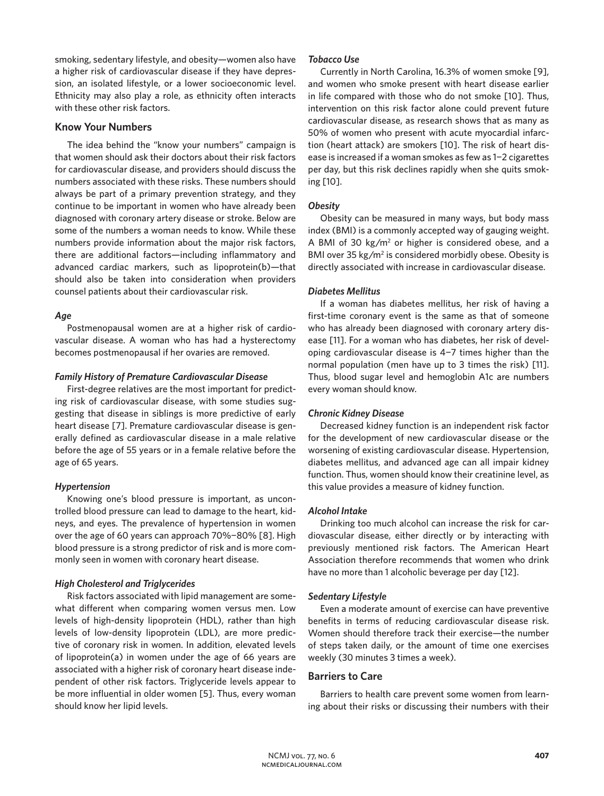smoking, sedentary lifestyle, and obesity—women also have a higher risk of cardiovascular disease if they have depression, an isolated lifestyle, or a lower socioeconomic level. Ethnicity may also play a role, as ethnicity often interacts with these other risk factors.

## **Know Your Numbers**

The idea behind the "know your numbers" campaign is that women should ask their doctors about their risk factors for cardiovascular disease, and providers should discuss the numbers associated with these risks. These numbers should always be part of a primary prevention strategy, and they continue to be important in women who have already been diagnosed with coronary artery disease or stroke. Below are some of the numbers a woman needs to know. While these numbers provide information about the major risk factors, there are additional factors—including inflammatory and advanced cardiac markers, such as lipoprotein(b)—that should also be taken into consideration when providers counsel patients about their cardiovascular risk.

## *Age*

Postmenopausal women are at a higher risk of cardiovascular disease. A woman who has had a hysterectomy becomes postmenopausal if her ovaries are removed.

#### *Family History of Premature Cardiovascular Disease*

First-degree relatives are the most important for predicting risk of cardiovascular disease, with some studies suggesting that disease in siblings is more predictive of early heart disease [7]. Premature cardiovascular disease is generally defined as cardiovascular disease in a male relative before the age of 55 years or in a female relative before the age of 65 years.

# *Hypertension*

Knowing one's blood pressure is important, as uncontrolled blood pressure can lead to damage to the heart, kidneys, and eyes. The prevalence of hypertension in women over the age of 60 years can approach 70%−80% [8]. High blood pressure is a strong predictor of risk and is more commonly seen in women with coronary heart disease.

# *High Cholesterol and Triglycerides*

Risk factors associated with lipid management are somewhat different when comparing women versus men. Low levels of high-density lipoprotein (HDL), rather than high levels of low-density lipoprotein (LDL), are more predictive of coronary risk in women. In addition, elevated levels of lipoprotein(a) in women under the age of 66 years are associated with a higher risk of coronary heart disease independent of other risk factors. Triglyceride levels appear to be more influential in older women [5]. Thus, every woman should know her lipid levels.

#### *Tobacco Use*

Currently in North Carolina, 16.3% of women smoke [9], and women who smoke present with heart disease earlier in life compared with those who do not smoke [10]. Thus, intervention on this risk factor alone could prevent future cardiovascular disease, as research shows that as many as 50% of women who present with acute myocardial infarction (heart attack) are smokers [10]. The risk of heart disease is increased if a woman smokes as few as 1−2 cigarettes per day, but this risk declines rapidly when she quits smoking [10].

## *Obesity*

Obesity can be measured in many ways, but body mass index (BMI) is a commonly accepted way of gauging weight. A BMI of 30 kg/m<sup>2</sup> or higher is considered obese, and a BMI over 35 kg/m<sup>2</sup> is considered morbidly obese. Obesity is directly associated with increase in cardiovascular disease.

## *Diabetes Mellitus*

If a woman has diabetes mellitus, her risk of having a first-time coronary event is the same as that of someone who has already been diagnosed with coronary artery disease [11]. For a woman who has diabetes, her risk of developing cardiovascular disease is 4−7 times higher than the normal population (men have up to 3 times the risk) [11]. Thus, blood sugar level and hemoglobin A1c are numbers every woman should know.

#### *Chronic Kidney Disease*

Decreased kidney function is an independent risk factor for the development of new cardiovascular disease or the worsening of existing cardiovascular disease. Hypertension, diabetes mellitus, and advanced age can all impair kidney function. Thus, women should know their creatinine level, as this value provides a measure of kidney function.

#### *Alcohol Intake*

Drinking too much alcohol can increase the risk for cardiovascular disease, either directly or by interacting with previously mentioned risk factors. The American Heart Association therefore recommends that women who drink have no more than 1 alcoholic beverage per day [12].

# *Sedentary Lifestyle*

Even a moderate amount of exercise can have preventive benefits in terms of reducing cardiovascular disease risk. Women should therefore track their exercise—the number of steps taken daily, or the amount of time one exercises weekly (30 minutes 3 times a week).

#### **Barriers to Care**

Barriers to health care prevent some women from learning about their risks or discussing their numbers with their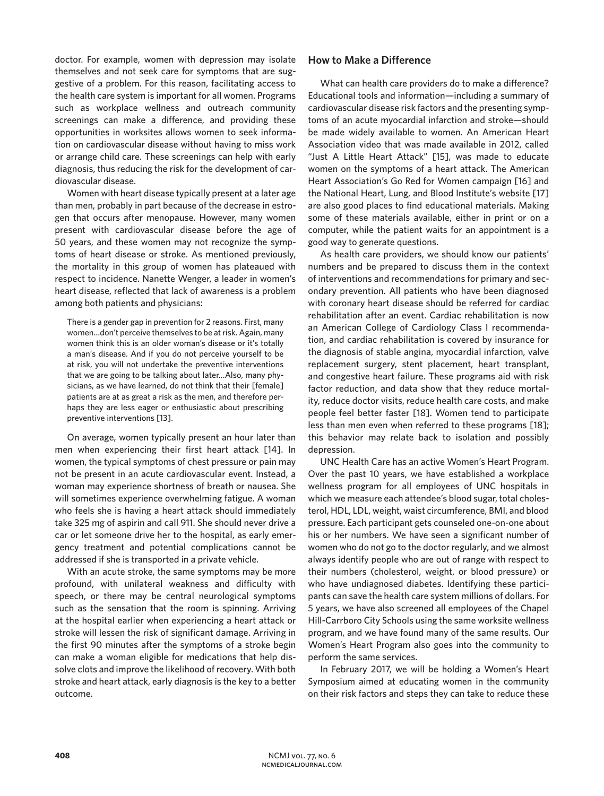doctor. For example, women with depression may isolate themselves and not seek care for symptoms that are suggestive of a problem. For this reason, facilitating access to the health care system is important for all women. Programs such as workplace wellness and outreach community screenings can make a difference, and providing these opportunities in worksites allows women to seek information on cardiovascular disease without having to miss work or arrange child care. These screenings can help with early diagnosis, thus reducing the risk for the development of cardiovascular disease.

Women with heart disease typically present at a later age than men, probably in part because of the decrease in estrogen that occurs after menopause. However, many women present with cardiovascular disease before the age of 50 years, and these women may not recognize the symptoms of heart disease or stroke. As mentioned previously, the mortality in this group of women has plateaued with respect to incidence. Nanette Wenger, a leader in women's heart disease, reflected that lack of awareness is a problem among both patients and physicians:

There is a gender gap in prevention for 2 reasons. First, many women…don't perceive themselves to be at risk. Again, many women think this is an older woman's disease or it's totally a man's disease. And if you do not perceive yourself to be at risk, you will not undertake the preventive interventions that we are going to be talking about later…Also, many physicians, as we have learned, do not think that their [female] patients are at as great a risk as the men, and therefore perhaps they are less eager or enthusiastic about prescribing preventive interventions [13].

On average, women typically present an hour later than men when experiencing their first heart attack [14]. In women, the typical symptoms of chest pressure or pain may not be present in an acute cardiovascular event. Instead, a woman may experience shortness of breath or nausea. She will sometimes experience overwhelming fatigue. A woman who feels she is having a heart attack should immediately take 325 mg of aspirin and call 911. She should never drive a car or let someone drive her to the hospital, as early emergency treatment and potential complications cannot be addressed if she is transported in a private vehicle.

With an acute stroke, the same symptoms may be more profound, with unilateral weakness and difficulty with speech, or there may be central neurological symptoms such as the sensation that the room is spinning. Arriving at the hospital earlier when experiencing a heart attack or stroke will lessen the risk of significant damage. Arriving in the first 90 minutes after the symptoms of a stroke begin can make a woman eligible for medications that help dissolve clots and improve the likelihood of recovery. With both stroke and heart attack, early diagnosis is the key to a better outcome.

# **How to Make a Difference**

What can health care providers do to make a difference? Educational tools and information—including a summary of cardiovascular disease risk factors and the presenting symptoms of an acute myocardial infarction and stroke—should be made widely available to women. An American Heart Association video that was made available in 2012, called "Just A Little Heart Attack" [15], was made to educate women on the symptoms of a heart attack. The American Heart Association's Go Red for Women campaign [16] and the National Heart, Lung, and Blood Institute's website [17] are also good places to find educational materials. Making some of these materials available, either in print or on a computer, while the patient waits for an appointment is a good way to generate questions.

As health care providers, we should know our patients' numbers and be prepared to discuss them in the context of interventions and recommendations for primary and secondary prevention. All patients who have been diagnosed with coronary heart disease should be referred for cardiac rehabilitation after an event. Cardiac rehabilitation is now an American College of Cardiology Class I recommendation, and cardiac rehabilitation is covered by insurance for the diagnosis of stable angina, myocardial infarction, valve replacement surgery, stent placement, heart transplant, and congestive heart failure. These programs aid with risk factor reduction, and data show that they reduce mortality, reduce doctor visits, reduce health care costs, and make people feel better faster [18]. Women tend to participate less than men even when referred to these programs [18]; this behavior may relate back to isolation and possibly depression.

UNC Health Care has an active Women's Heart Program. Over the past 10 years, we have established a workplace wellness program for all employees of UNC hospitals in which we measure each attendee's blood sugar, total cholesterol, HDL, LDL, weight, waist circumference, BMI, and blood pressure. Each participant gets counseled one-on-one about his or her numbers. We have seen a significant number of women who do not go to the doctor regularly, and we almost always identify people who are out of range with respect to their numbers (cholesterol, weight, or blood pressure) or who have undiagnosed diabetes. Identifying these participants can save the health care system millions of dollars. For 5 years, we have also screened all employees of the Chapel Hill-Carrboro City Schools using the same worksite wellness program, and we have found many of the same results. Our Women's Heart Program also goes into the community to perform the same services.

In February 2017, we will be holding a Women's Heart Symposium aimed at educating women in the community on their risk factors and steps they can take to reduce these